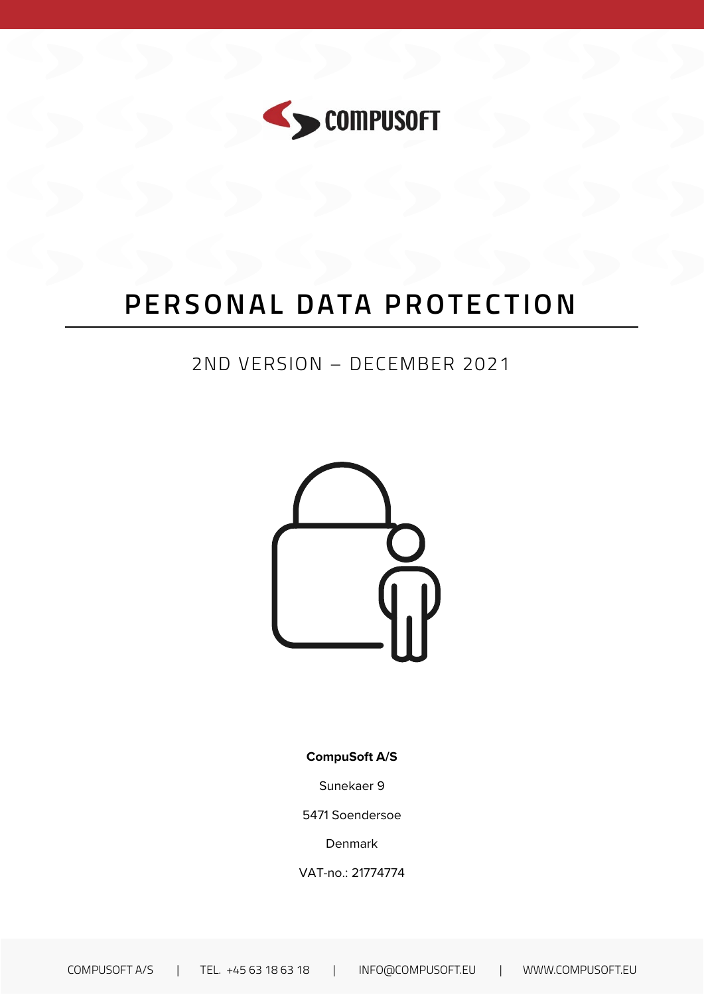

# PERSONAL DATA PROTECTION

# 2ND VERSION - DECEMBER 2021



**CompuSoft A/S** 

Sunekaer 9

5471 Soendersoe

Denmark

VAT-no.: 21774774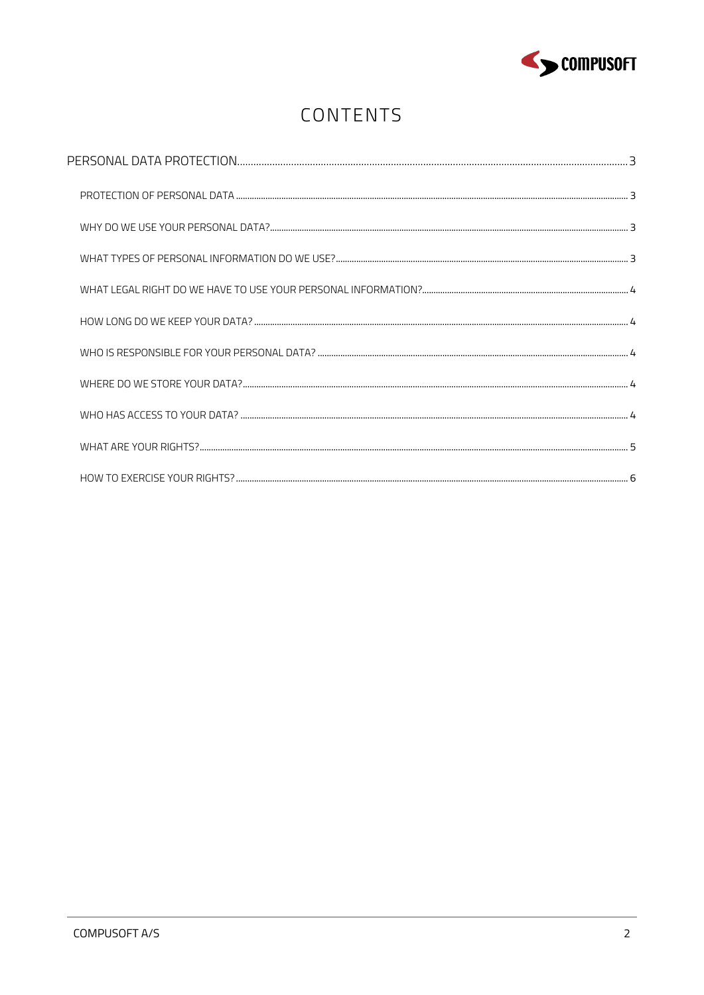

# CONTENTS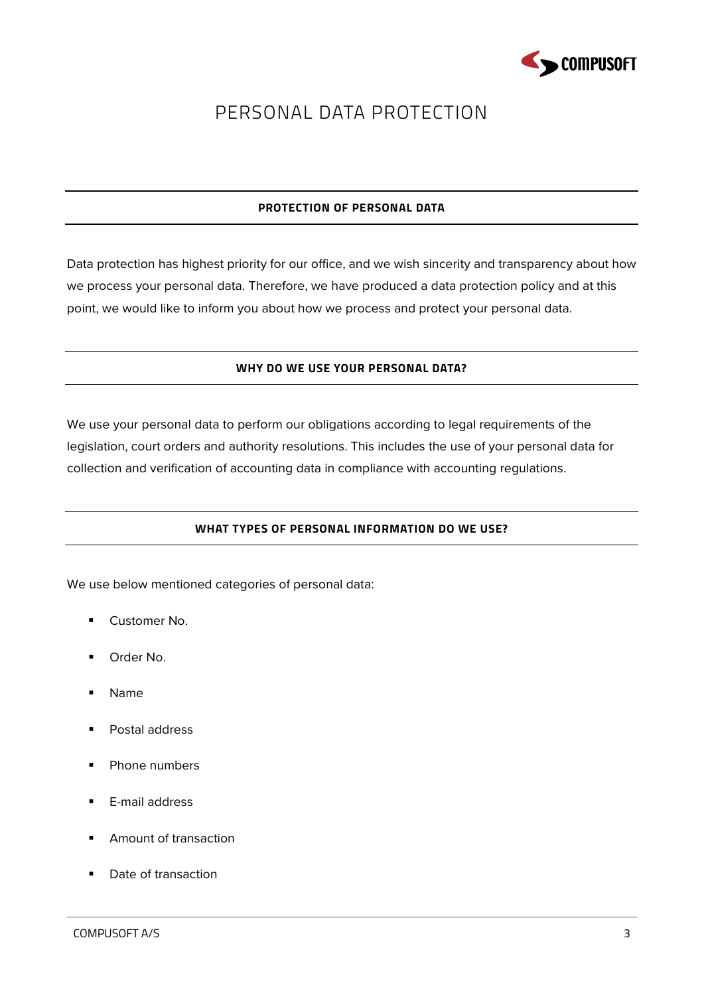

# <span id="page-2-0"></span>PERSONAL DATA PROTECTION

# **PROTECTION OF PERSONAL DATA**

<span id="page-2-2"></span><span id="page-2-1"></span>Data protection has highest priority for our office, and we wish sincerity and transparency about how we process your personal data. Therefore, we have produced a data protection policy and at this point, we would like to inform you about how we process and protect your personal data.

# **WHY DO WE USE YOUR PERSONAL DATA?**

<span id="page-2-3"></span>We use your personal data to perform our obligations according to legal requirements of the legislation, court orders and authority resolutions. This includes the use of your personal data for collection and verification of accounting data in compliance with accounting regulations.

# **WHAT TYPES OF PERSONAL INFORMATION DO WE USE?**

We use below mentioned categories of personal data:

- **Customer No.**
- Order No.
- Name
- **Postal address**
- Phone numbers
- **E-mail address**
- **Amount of transaction**
- Date of transaction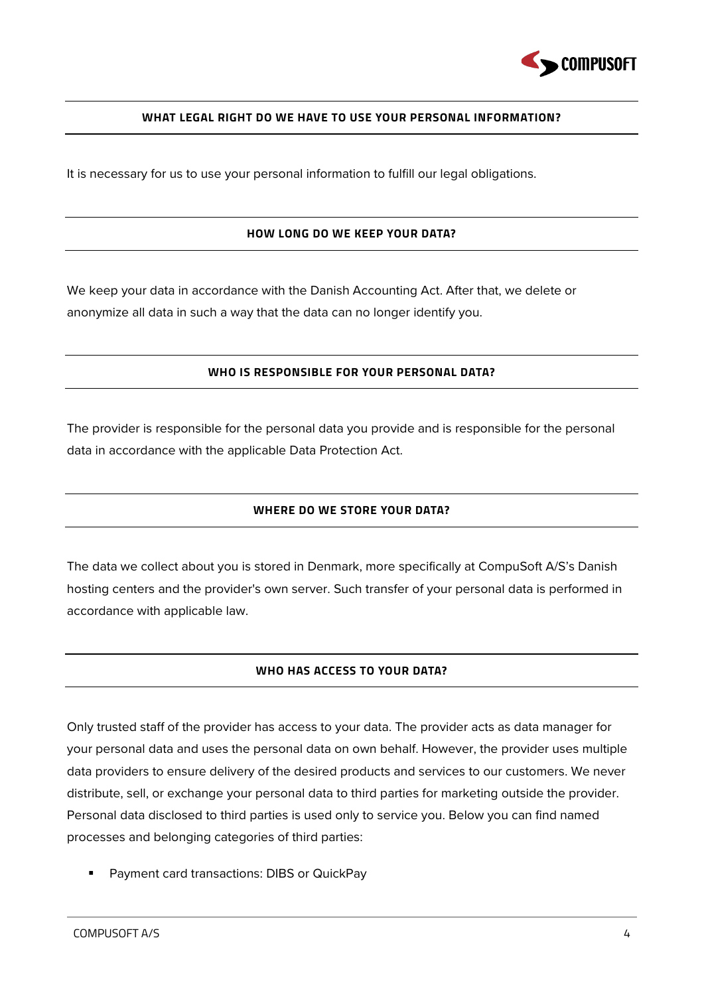

#### **WHAT LEGAL RIGHT DO WE HAVE TO USE YOUR PERSONAL INFORMATION?**

<span id="page-3-1"></span><span id="page-3-0"></span>It is necessary for us to use your personal information to fulfill our legal obligations.

#### **HOW LONG DO WE KEEP YOUR DATA?**

<span id="page-3-2"></span>We keep your data in accordance with the Danish Accounting Act. After that, we delete or anonymize all data in such a way that the data can no longer identify you.

#### **WHO IS RESPONSIBLE FOR YOUR PERSONAL DATA?**

<span id="page-3-3"></span>The provider is responsible for the personal data you provide and is responsible for the personal data in accordance with the applicable Data Protection Act.

#### **WHERE DO WE STORE YOUR DATA?**

<span id="page-3-4"></span>The data we collect about you is stored in Denmark, more specifically at CompuSoft A/S's Danish hosting centers and the provider's own server. Such transfer of your personal data is performed in accordance with applicable law.

#### **WHO HAS ACCESS TO YOUR DATA?**

Only trusted staff of the provider has access to your data. The provider acts as data manager for your personal data and uses the personal data on own behalf. However, the provider uses multiple data providers to ensure delivery of the desired products and services to our customers. We never distribute, sell, or exchange your personal data to third parties for marketing outside the provider. Personal data disclosed to third parties is used only to service you. Below you can find named processes and belonging categories of third parties:

**Payment card transactions: DIBS or QuickPay**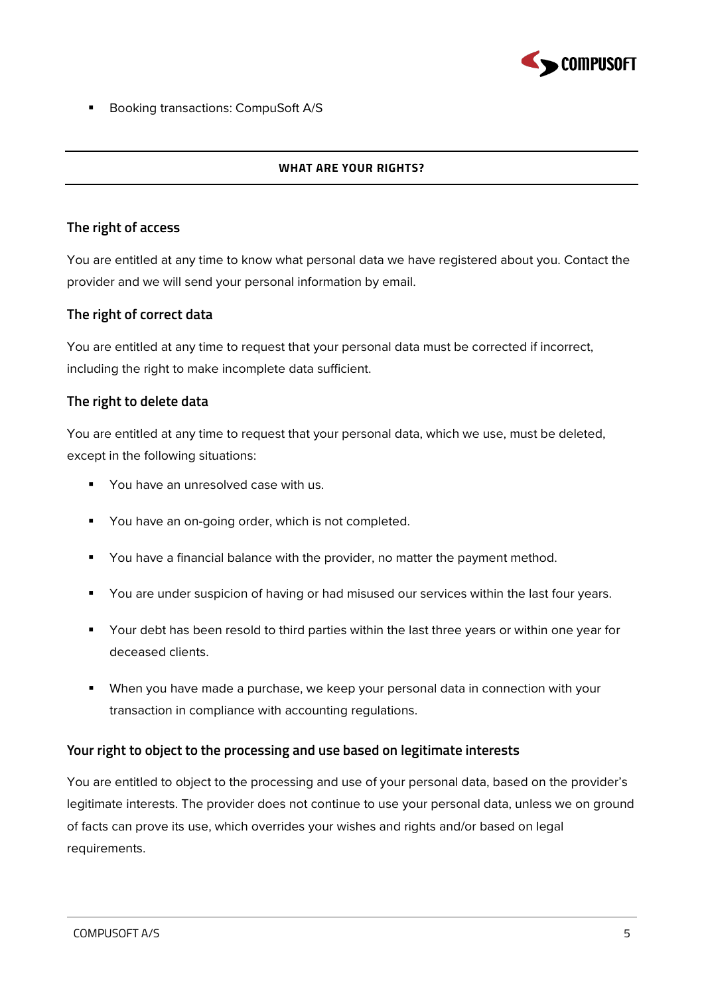

<span id="page-4-0"></span>Booking transactions: CompuSoft A/S

#### **WHAT ARE YOUR RIGHTS?**

# **The right of access**

You are entitled at any time to know what personal data we have registered about you. Contact the provider and we will send your personal information by email.

# **The right of correct data**

You are entitled at any time to request that your personal data must be corrected if incorrect, including the right to make incomplete data sufficient.

# **The right to delete data**

You are entitled at any time to request that your personal data, which we use, must be deleted, except in the following situations:

- **You have an unresolved case with us.**
- You have an on-going order, which is not completed.
- You have a financial balance with the provider, no matter the payment method.
- You are under suspicion of having or had misused our services within the last four years.
- Your debt has been resold to third parties within the last three years or within one year for deceased clients.
- When you have made a purchase, we keep your personal data in connection with your transaction in compliance with accounting regulations.

# **Your right to object to the processing and use based on legitimate interests**

You are entitled to object to the processing and use of your personal data, based on the provider's legitimate interests. The provider does not continue to use your personal data, unless we on ground of facts can prove its use, which overrides your wishes and rights and/or based on legal requirements.